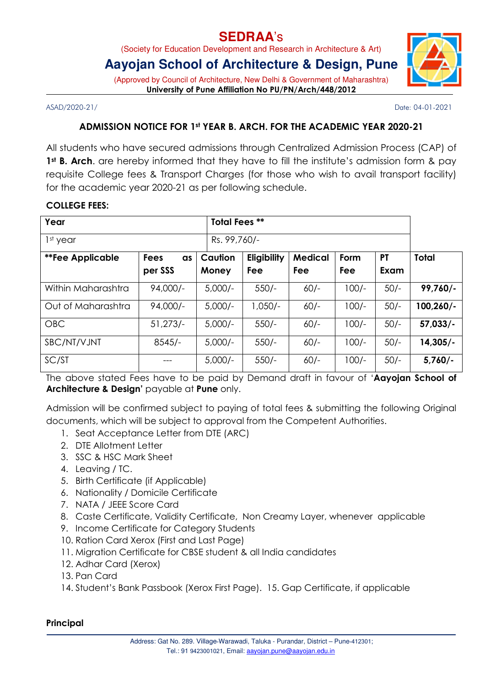# **SEDRAA**'s

(Society for Education Development and Research in Architecture & Art)

# **Aayojan School of Architecture & Design, Pune**

(Approved by Council of Architecture, New Delhi & Government of Maharashtra) University of Pune Affiliation No PU/PN/Arch/448/2012

ASAD/2020-21/ Date: 04-01-2021

### ADMISSION NOTICE FOR 1st YEAR B. ARCH. FOR THE ACADEMIC YEAR 2020-21

All students who have secured admissions through Centralized Admission Process (CAP) of 1<sup>st</sup> **B. Arch.** are hereby informed that they have to fill the institute's admission form & pay requisite College fees & Transport Charges (for those who wish to avail transport facility) for the academic year 2020-21 as per following schedule.

#### COLLEGE FEES:

| Year                    |                   |           | <b>Total Fees **</b> |                |         |           |              |
|-------------------------|-------------------|-----------|----------------------|----------------|---------|-----------|--------------|
| 1 <sup>st</sup> year    |                   |           | Rs. 99,760/-         |                |         |           |              |
| <b>**Fee Applicable</b> | <b>Fees</b><br>as | Caution   | Eligibility          | <b>Medical</b> | Form    | <b>PT</b> | <b>Total</b> |
|                         | per SSS           | Money     | Fee                  | Fee            | Fee     | Exam      |              |
| Within Maharashtra      | $94,000/-$        | $5,000/-$ | $550/-$              | $60/-$         | $100/-$ | $50/-$    | $99,760/-$   |
| Out of Maharashtra      | $94,000/-$        | $5,000/-$ | $1,050/-$            | $60/-$         | $100/-$ | $50/-$    | 100,260/-    |
| <b>OBC</b>              | $51,273/-$        | $5,000/-$ | $550/-$              | $60/-$         | $100/-$ | $50/-$    | $57,033/-$   |
| SBC/NT/VJNT             | $8545/-$          | $5,000/-$ | $550/-$              | $60/-$         | $100/-$ | $50/-$    | $14,305/-$   |
| SC/ST                   | ---               | $5,000/-$ | $550/-$              | $60/-$         | $100/-$ | $50/-$    | $5,760/-$    |

The above stated Fees have to be paid by Demand draft in favour of 'Aayojan School of Architecture & Design' payable at Pune only.

Admission will be confirmed subject to paying of total fees & submitting the following Original documents, which will be subject to approval from the Competent Authorities.

- 1. Seat Acceptance Letter from DTE (ARC)
- 2. DTE Allotment Letter
- 3. SSC & HSC Mark Sheet
- 4. Leaving / TC.
- 5. Birth Certificate (if Applicable)
- 6. Nationality / Domicile Certificate
- 7. NATA / JEEE Score Card
- 8. Caste Certificate, Validity Certificate, Non Creamy Layer, whenever applicable
- 9. Income Certificate for Category Students
- 10. Ration Card Xerox (First and Last Page)
- 11. Migration Certificate for CBSE student & all India candidates
- 12. Adhar Card (Xerox)
- 13. Pan Card
- 14. Student's Bank Passbook (Xerox First Page). 15. Gap Certificate, if applicable

#### **Principal**

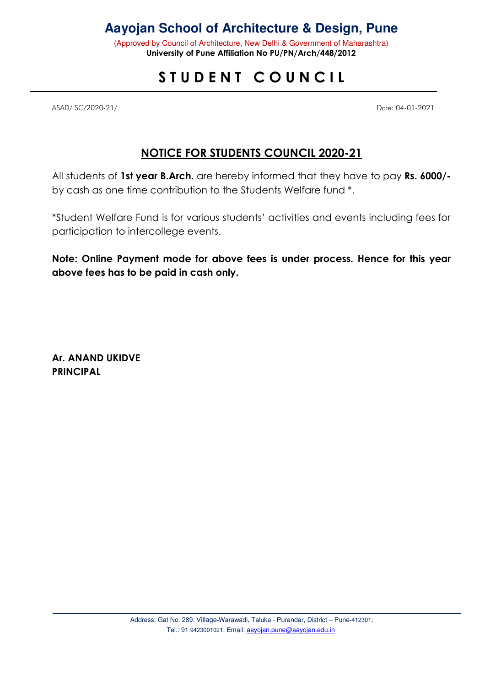# **Aayojan School of Architecture & Design, Pune**

(Approved by Council of Architecture, New Delhi & Government of Maharashtra) University of Pune Affiliation No PU/PN/Arch/448/2012

# STUDENT COUNCIL

ASAD/ SC/2020-21/ Date: 04-01-2021

## NOTICE FOR STUDENTS COUNCIL 2020-21

All students of 1st year B.Arch. are hereby informed that they have to pay Rs. 6000/by cash as one time contribution to the Students Welfare fund \*.

\*Student Welfare Fund is for various students' activities and events including fees for participation to intercollege events.

Note: Online Payment mode for above fees is under process. Hence for this year above fees has to be paid in cash only.

Ar. ANAND UKIDVE **PRINCIPAL**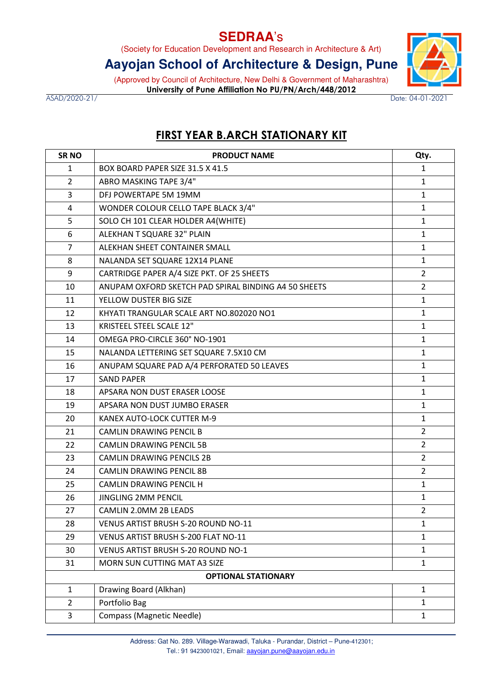## **SEDRAA**'s

(Society for Education Development and Research in Architecture & Art)

# **Aayojan School of Architecture & Design, Pune**

(Approved by Council of Architecture, New Delhi & Government of Maharashtra) University of Pune Affiliation No PU/PN/Arch/448/2012

ASAD/2020-21/ Date: 04-01-2021

## FIRST YEAR B.ARCH STATIONARY KIT

| SR <sub>NO</sub>           | <b>PRODUCT NAME</b>                                  | Qty.           |  |  |
|----------------------------|------------------------------------------------------|----------------|--|--|
| $\mathbf{1}$               | BOX BOARD PAPER SIZE 31.5 X 41.5                     | $\mathbf{1}$   |  |  |
| $\overline{2}$             | ABRO MASKING TAPE 3/4"                               | $\mathbf{1}$   |  |  |
| 3                          | DFJ POWERTAPE 5M 19MM                                | $\mathbf{1}$   |  |  |
| 4                          | WONDER COLOUR CELLO TAPE BLACK 3/4"                  | $\mathbf{1}$   |  |  |
| 5                          | SOLO CH 101 CLEAR HOLDER A4(WHITE)                   | $\mathbf{1}$   |  |  |
| 6                          | ALEKHAN T SQUARE 32" PLAIN                           | $\mathbf{1}$   |  |  |
| $\overline{7}$             | ALEKHAN SHEET CONTAINER SMALL                        | $\mathbf{1}$   |  |  |
| 8                          | NALANDA SET SQUARE 12X14 PLANE                       | $\mathbf{1}$   |  |  |
| 9                          | CARTRIDGE PAPER A/4 SIZE PKT. OF 25 SHEETS           | $\overline{2}$ |  |  |
| 10                         | ANUPAM OXFORD SKETCH PAD SPIRAL BINDING A4 50 SHEETS | $\overline{2}$ |  |  |
| 11                         | YELLOW DUSTER BIG SIZE                               | $\mathbf{1}$   |  |  |
| 12                         | KHYATI TRANGULAR SCALE ART NO.802020 NO1             | $\mathbf{1}$   |  |  |
| 13                         | KRISTEEL STEEL SCALE 12"                             | $\mathbf{1}$   |  |  |
| 14                         | OMEGA PRO-CIRCLE 360° NO-1901                        | $\mathbf{1}$   |  |  |
| 15                         | NALANDA LETTERING SET SQUARE 7.5X10 CM               | $\mathbf{1}$   |  |  |
| 16                         | ANUPAM SQUARE PAD A/4 PERFORATED 50 LEAVES           | $\mathbf{1}$   |  |  |
| 17                         | <b>SAND PAPER</b>                                    | $\mathbf{1}$   |  |  |
| 18                         | APSARA NON DUST ERASER LOOSE                         | $\mathbf{1}$   |  |  |
| 19                         | APSARA NON DUST JUMBO ERASER                         | $\mathbf{1}$   |  |  |
| 20                         | KANEX AUTO-LOCK CUTTER M-9                           | $\mathbf{1}$   |  |  |
| 21                         | CAMLIN DRAWING PENCIL B                              | $\overline{2}$ |  |  |
| 22                         | <b>CAMLIN DRAWING PENCIL 5B</b>                      | $\overline{2}$ |  |  |
| 23                         | <b>CAMLIN DRAWING PENCILS 2B</b>                     | $\overline{2}$ |  |  |
| 24                         | <b>CAMLIN DRAWING PENCIL 8B</b>                      | $\overline{2}$ |  |  |
| 25                         | CAMLIN DRAWING PENCIL H                              | $\mathbf{1}$   |  |  |
| 26                         | <b>JINGLING 2MM PENCIL</b>                           | $\mathbf{1}$   |  |  |
| 27                         | CAMLIN 2.0MM 2B LEADS                                | $\overline{2}$ |  |  |
| 28                         | VENUS ARTIST BRUSH S-20 ROUND NO-11                  | $\mathbf{1}$   |  |  |
| 29                         | VENUS ARTIST BRUSH S-200 FLAT NO-11                  | $\mathbf{1}$   |  |  |
| 30                         | <b>VENUS ARTIST BRUSH S-20 ROUND NO-1</b>            | $\mathbf{1}$   |  |  |
| 31                         | MORN SUN CUTTING MAT A3 SIZE                         | $\mathbf{1}$   |  |  |
| <b>OPTIONAL STATIONARY</b> |                                                      |                |  |  |
| $\mathbf{1}$               | Drawing Board (Alkhan)                               | $\mathbf{1}$   |  |  |
| $\overline{2}$             | Portfolio Bag                                        | $\mathbf{1}$   |  |  |
| 3                          | <b>Compass (Magnetic Needle)</b>                     | $\mathbf{1}$   |  |  |